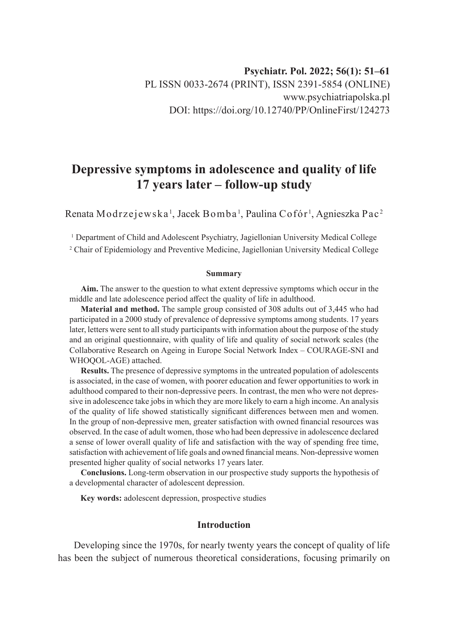# **Depressive symptoms in adolescence and quality of life 17 years later – follow-up study**

Renata Modrzejewska  $^{\rm l}$ , Jacek Bomba  $^{\rm l}$ , Paulina Cofór  $^{\rm l}$ , Agnieszka Pac  $^{\rm 2}$ 

1 Department of Child and Adolescent Psychiatry, Jagiellonian University Medical College

2 Chair of Epidemiology and Preventive Medicine, Jagiellonian University Medical College

#### **Summary**

**Aim.** The answer to the question to what extent depressive symptoms which occur in the middle and late adolescence period affect the quality of life in adulthood.

**Material and method.** The sample group consisted of 308 adults out of 3,445 who had participated in a 2000 study of prevalence of depressive symptoms among students. 17 years later, letters were sent to all study participants with information about the purpose of the study and an original questionnaire, with quality of life and quality of social network scales (the Collaborative Research on Ageing in Europe Social Network Index – COURAGE-SNI and WHOQOL-AGE) attached.

**Results.** The presence of depressive symptoms in the untreated population of adolescents is associated, in the case of women, with poorer education and fewer opportunities to work in adulthood compared to their non-depressive peers. In contrast, the men who were not depressive in adolescence take jobs in which they are more likely to earn a high income. An analysis of the quality of life showed statistically significant differences between men and women. In the group of non-depressive men, greater satisfaction with owned financial resources was observed. In the case of adult women, those who had been depressive in adolescence declared a sense of lower overall quality of life and satisfaction with the way of spending free time, satisfaction with achievement of life goals and owned financial means. Non-depressive women presented higher quality of social networks 17 years later.

**Conclusions.** Long-term observation in our prospective study supports the hypothesis of a developmental character of adolescent depression.

**Key words:** adolescent depression, prospective studies

## **Introduction**

Developing since the 1970s, for nearly twenty years the concept of quality of life has been the subject of numerous theoretical considerations, focusing primarily on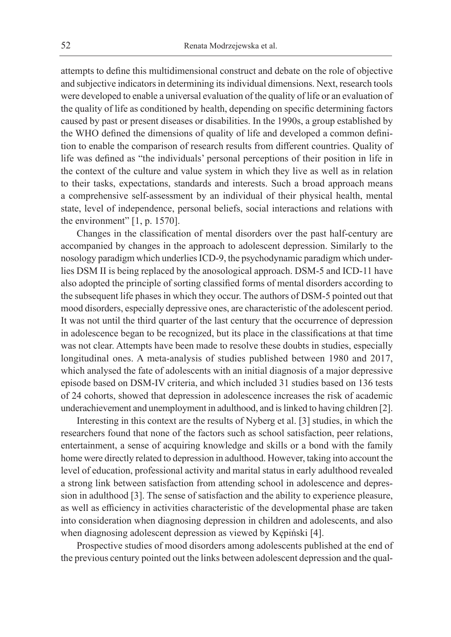attempts to define this multidimensional construct and debate on the role of objective and subjective indicators in determining its individual dimensions. Next, research tools were developed to enable a universal evaluation of the quality of life or an evaluation of the quality of life as conditioned by health, depending on specific determining factors caused by past or present diseases or disabilities. In the 1990s, a group established by the WHO defined the dimensions of quality of life and developed a common definition to enable the comparison of research results from different countries. Quality of life was defined as "the individuals' personal perceptions of their position in life in the context of the culture and value system in which they live as well as in relation to their tasks, expectations, standards and interests. Such a broad approach means a comprehensive self-assessment by an individual of their physical health, mental state, level of independence, personal beliefs, social interactions and relations with the environment" [1, p. 1570].

Changes in the classification of mental disorders over the past half-century are accompanied by changes in the approach to adolescent depression. Similarly to the nosology paradigm which underlies ICD-9, the psychodynamic paradigm which underlies DSM II is being replaced by the anosological approach. DSM-5 and ICD-11 have also adopted the principle of sorting classified forms of mental disorders according to the subsequent life phases in which they occur. The authors of DSM-5 pointed out that mood disorders, especially depressive ones, are characteristic of the adolescent period. It was not until the third quarter of the last century that the occurrence of depression in adolescence began to be recognized, but its place in the classifications at that time was not clear. Attempts have been made to resolve these doubts in studies, especially longitudinal ones. A meta-analysis of studies published between 1980 and 2017, which analysed the fate of adolescents with an initial diagnosis of a major depressive episode based on DSM-IV criteria, and which included 31 studies based on 136 tests of 24 cohorts, showed that depression in adolescence increases the risk of academic underachievement and unemployment in adulthood, and is linked to having children [2].

Interesting in this context are the results of Nyberg et al. [3] studies, in which the researchers found that none of the factors such as school satisfaction, peer relations, entertainment, a sense of acquiring knowledge and skills or a bond with the family home were directly related to depression in adulthood. However, taking into account the level of education, professional activity and marital status in early adulthood revealed a strong link between satisfaction from attending school in adolescence and depression in adulthood [3]. The sense of satisfaction and the ability to experience pleasure, as well as efficiency in activities characteristic of the developmental phase are taken into consideration when diagnosing depression in children and adolescents, and also when diagnosing adolescent depression as viewed by Kępiński [4].

Prospective studies of mood disorders among adolescents published at the end of the previous century pointed out the links between adolescent depression and the qual-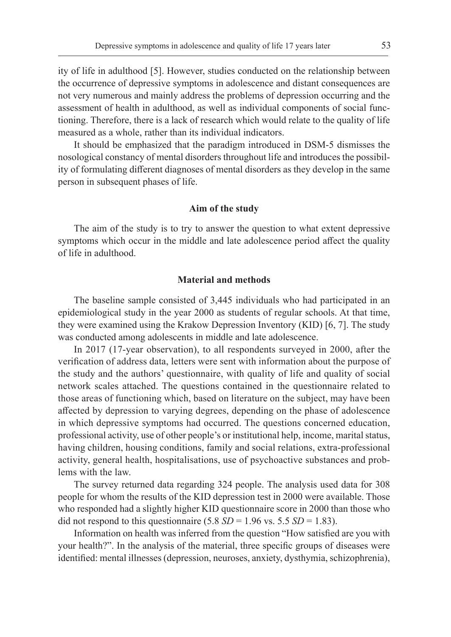ity of life in adulthood [5]. However, studies conducted on the relationship between the occurrence of depressive symptoms in adolescence and distant consequences are not very numerous and mainly address the problems of depression occurring and the assessment of health in adulthood, as well as individual components of social functioning. Therefore, there is a lack of research which would relate to the quality of life measured as a whole, rather than its individual indicators.

It should be emphasized that the paradigm introduced in DSM-5 dismisses the nosological constancy of mental disorders throughout life and introduces the possibility of formulating different diagnoses of mental disorders as they develop in the same person in subsequent phases of life.

## **Aim of the study**

The aim of the study is to try to answer the question to what extent depressive symptoms which occur in the middle and late adolescence period affect the quality of life in adulthood.

## **Material and methods**

The baseline sample consisted of 3,445 individuals who had participated in an epidemiological study in the year 2000 as students of regular schools. At that time, they were examined using the Krakow Depression Inventory (KID) [6, 7]. The study was conducted among adolescents in middle and late adolescence.

In 2017 (17-year observation), to all respondents surveyed in 2000, after the verification of address data, letters were sent with information about the purpose of the study and the authors' questionnaire, with quality of life and quality of social network scales attached. The questions contained in the questionnaire related to those areas of functioning which, based on literature on the subject, may have been affected by depression to varying degrees, depending on the phase of adolescence in which depressive symptoms had occurred. The questions concerned education, professional activity, use of other people's or institutional help, income, marital status, having children, housing conditions, family and social relations, extra-professional activity, general health, hospitalisations, use of psychoactive substances and problems with the law.

The survey returned data regarding 324 people. The analysis used data for 308 people for whom the results of the KID depression test in 2000 were available. Those who responded had a slightly higher KID questionnaire score in 2000 than those who did not respond to this questionnaire  $(5.8 SD = 1.96 \text{ vs. } 5.5 SD = 1.83)$ .

Information on health was inferred from the question "How satisfied are you with your health?". In the analysis of the material, three specific groups of diseases were identified: mental illnesses (depression, neuroses, anxiety, dysthymia, schizophrenia),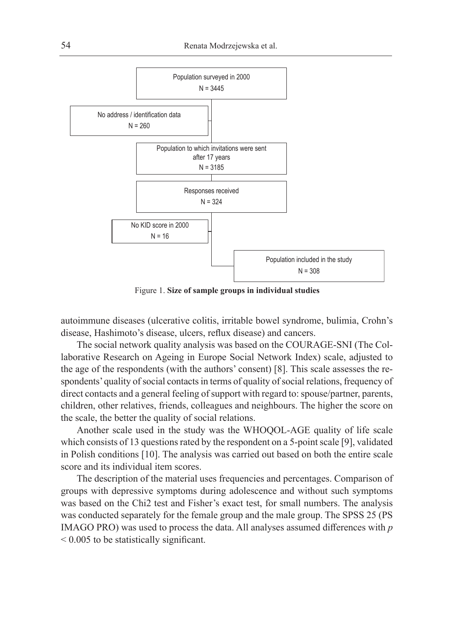

Figure 1. **Size of sample groups in individual studies**

autoimmune diseases (ulcerative colitis, irritable bowel syndrome, bulimia, Crohn's disease, Hashimoto's disease, ulcers, reflux disease) and cancers.

The social network quality analysis was based on the COURAGE-SNI (The Collaborative Research on Ageing in Europe Social Network Index) scale, adjusted to the age of the respondents (with the authors' consent) [8]. This scale assesses the respondents' quality of social contacts in terms of quality of social relations, frequency of direct contacts and a general feeling of support with regard to: spouse/partner, parents, children, other relatives, friends, colleagues and neighbours. The higher the score on the scale, the better the quality of social relations.

Another scale used in the study was the WHOQOL-AGE quality of life scale which consists of 13 questions rated by the respondent on a 5-point scale [9], validated in Polish conditions [10]. The analysis was carried out based on both the entire scale score and its individual item scores.

The description of the material uses frequencies and percentages. Comparison of groups with depressive symptoms during adolescence and without such symptoms was based on the Chi2 test and Fisher's exact test, for small numbers. The analysis was conducted separately for the female group and the male group. The SPSS 25 (PS IMAGO PRO) was used to process the data. All analyses assumed differences with *p* < 0.005 to be statistically significant.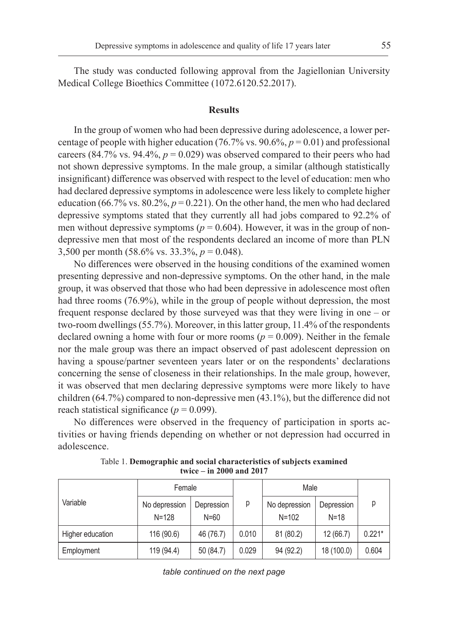The study was conducted following approval from the Jagiellonian University Medical College Bioethics Committee (1072.6120.52.2017).

#### **Results**

In the group of women who had been depressive during adolescence, a lower percentage of people with higher education (76.7% vs. 90.6%,  $p = 0.01$ ) and professional careers (84.7% vs. 94.4%,  $p = 0.029$ ) was observed compared to their peers who had not shown depressive symptoms. In the male group, a similar (although statistically insignificant) difference was observed with respect to the level of education: men who had declared depressive symptoms in adolescence were less likely to complete higher education (66.7% vs.  $80.2\%$ ,  $p = 0.221$ ). On the other hand, the men who had declared depressive symptoms stated that they currently all had jobs compared to 92.2% of men without depressive symptoms ( $p = 0.604$ ). However, it was in the group of nondepressive men that most of the respondents declared an income of more than PLN 3,500 per month (58.6% vs. 33.3%, *p* = 0.048).

No differences were observed in the housing conditions of the examined women presenting depressive and non-depressive symptoms. On the other hand, in the male group, it was observed that those who had been depressive in adolescence most often had three rooms (76.9%), while in the group of people without depression, the most frequent response declared by those surveyed was that they were living in one – or two-room dwellings (55.7%). Moreover, in this latter group, 11.4% of the respondents declared owning a home with four or more rooms ( $p = 0.009$ ). Neither in the female nor the male group was there an impact observed of past adolescent depression on having a spouse/partner seventeen years later or on the respondents' declarations concerning the sense of closeness in their relationships. In the male group, however, it was observed that men declaring depressive symptoms were more likely to have children (64.7%) compared to non-depressive men (43.1%), but the difference did not reach statistical significance ( $p = 0.099$ ).

No differences were observed in the frequency of participation in sports activities or having friends depending on whether or not depression had occurred in adolescence.

| Variable         | Female                     |                        |       | Male                       |                        |          |
|------------------|----------------------------|------------------------|-------|----------------------------|------------------------|----------|
|                  | No depression<br>$N = 128$ | Depression<br>$N = 60$ | р     | No depression<br>$N = 102$ | Depression<br>$N = 18$ |          |
| Higher education | 116 (90.6)                 | 46 (76.7)              | 0.010 | 81 (80.2)                  | 12(66.7)               | $0.221*$ |
| Employment       | 119 (94.4)                 | 50 (84.7)              | 0.029 | 94 (92.2)                  | 18 (100.0)             | 0.604    |

Table 1. **Demographic and social characteristics of subjects examined twice – in 2000 and 2017**

*table continued on the next page*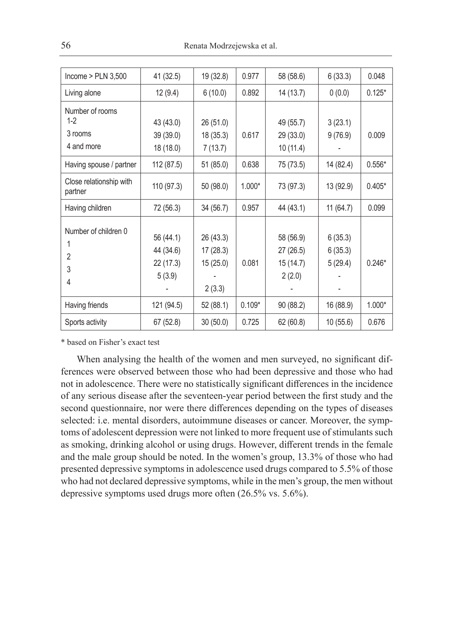| Income $>$ PLN 3,500                              | 41 (32.5)                                     | 19 (32.8)                                   | 0.977    | 58 (58.6)                                     | 6(33.3)                       | 0.048    |
|---------------------------------------------------|-----------------------------------------------|---------------------------------------------|----------|-----------------------------------------------|-------------------------------|----------|
| Living alone                                      | 12(9.4)                                       | 6(10.0)                                     | 0.892    | 14 (13.7)                                     | 0(0.0)                        | $0.125*$ |
| Number of rooms<br>$1-2$<br>3 rooms<br>4 and more | 43 (43.0)<br>39 (39.0)<br>18 (18.0)           | 26 (51.0)<br>18 (35.3)<br>7(13.7)           | 0.617    | 49 (55.7)<br>29 (33.0)<br>10(11.4)            | 3(23.1)<br>9(76.9)            | 0.009    |
| Having spouse / partner                           | 112 (87.5)                                    | 51 (85.0)                                   | 0.638    | 75 (73.5)                                     | 14 (82.4)                     | $0.556*$ |
| Close relationship with<br>partner                | 110 (97.3)                                    | 50 (98.0)                                   | 1.000*   | 73 (97.3)                                     | 13 (92.9)                     | $0.405*$ |
| Having children                                   | 72 (56.3)                                     | 34 (56.7)                                   | 0.957    | 44 (43.1)                                     | 11(64.7)                      | 0.099    |
| Number of children 0<br>2<br>3<br>4               | 56 (44.1)<br>44 (34.6)<br>22 (17.3)<br>5(3.9) | 26 (43.3)<br>17(28.3)<br>15(25.0)<br>2(3.3) | 0.081    | 58 (56.9)<br>27 (26.5)<br>15 (14.7)<br>2(2.0) | 6(35.3)<br>6(35.3)<br>5(29.4) | $0.246*$ |
| Having friends                                    | 121 (94.5)                                    | 52 (88.1)                                   | $0.109*$ | 90 (88.2)                                     | 16 (88.9)                     | $1.000*$ |
| Sports activity                                   | 67 (52.8)                                     | 30 (50.0)                                   | 0.725    | 62 (60.8)                                     | 10 (55.6)                     | 0.676    |

\* based on Fisher's exact test

When analysing the health of the women and men surveyed, no significant differences were observed between those who had been depressive and those who had not in adolescence. There were no statistically significant differences in the incidence of any serious disease after the seventeen-year period between the first study and the second questionnaire, nor were there differences depending on the types of diseases selected: i.e. mental disorders, autoimmune diseases or cancer. Moreover, the symptoms of adolescent depression were not linked to more frequent use of stimulants such as smoking, drinking alcohol or using drugs. However, different trends in the female and the male group should be noted. In the women's group, 13.3% of those who had presented depressive symptoms in adolescence used drugs compared to 5.5% of those who had not declared depressive symptoms, while in the men's group, the men without depressive symptoms used drugs more often (26.5% vs. 5.6%).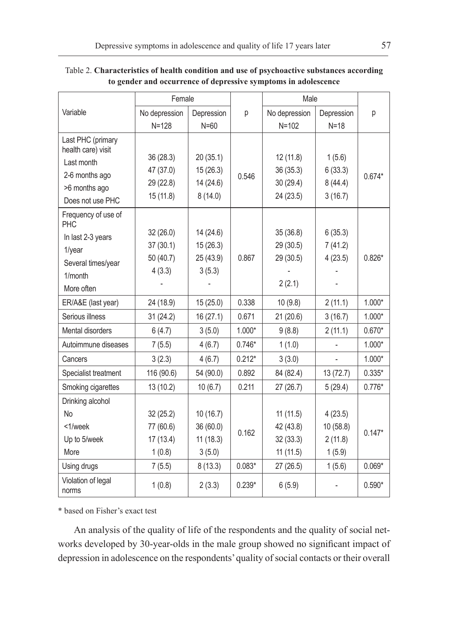|                             | Female        |            |          | Male          |            |          |
|-----------------------------|---------------|------------|----------|---------------|------------|----------|
| Variable                    | No depression | Depression | р        | No depression | Depression | р        |
|                             | $N = 128$     | $N = 60$   |          | $N = 102$     | $N=18$     |          |
| Last PHC (primary           |               |            |          |               |            |          |
| health care) visit          | 36 (28.3)     | 20(35.1)   |          | 12 (11.8)     | 1(5.6)     |          |
| Last month                  | 47 (37.0)     | 15 (26.3)  |          | 36 (35.3)     | 6(33.3)    |          |
| 2-6 months ago              | 29 (22.8)     | 14 (24.6)  | 0.546    | 30(29.4)      | 8(44.4)    | $0.674*$ |
| >6 months ago               | 15(11.8)      | 8(14.0)    |          | 24 (23.5)     | 3(16.7)    |          |
| Does not use PHC            |               |            |          |               |            |          |
| Frequency of use of<br>PHC  |               |            |          |               |            |          |
| In last 2-3 years           | 32(26.0)      | 14 (24.6)  |          | 35 (36.8)     | 6(35.3)    |          |
| $1$ /year                   | 37(30.1)      | 15 (26.3)  |          | 29 (30.5)     | 7(41.2)    |          |
| Several times/year          | 50 (40.7)     | 25 (43.9)  | 0.867    | 29 (30.5)     | 4(23.5)    | $0.826*$ |
| 1/month                     | 4(3.3)        | 3(5.3)     |          |               |            |          |
| More often                  |               |            |          | 2(2.1)        |            |          |
| ER/A&E (last year)          | 24 (18.9)     | 15 (25.0)  | 0.338    | 10(9.8)       | 2(11.1)    | 1.000*   |
| Serious illness             | 31 (24.2)     | 16 (27.1)  | 0.671    | 21 (20.6)     | 3(16.7)    | $1.000*$ |
| Mental disorders            | 6(4.7)        | 3(5.0)     | $1.000*$ | 9(8.8)        | 2(11.1)    | $0.670*$ |
| Autoimmune diseases         | 7(5.5)        | 4(6.7)     | $0.746*$ | 1(1.0)        |            | $1.000*$ |
| Cancers                     | 3(2.3)        | 4(6.7)     | $0.212*$ | 3(3.0)        |            | 1.000*   |
| Specialist treatment        | 116 (90.6)    | 54 (90.0)  | 0.892    | 84 (82.4)     | 13 (72.7)  | $0.335*$ |
| Smoking cigarettes          | 13 (10.2)     | 10(6.7)    | 0.211    | 27 (26.7)     | 5(29.4)    | $0.776*$ |
| Drinking alcohol            |               |            |          |               |            |          |
| <b>No</b>                   | 32(25.2)      | 10(16.7)   |          | 11(11.5)      | 4(23.5)    |          |
| <1/week                     | 77 (60.6)     | 36 (60.0)  |          | 42 (43.8)     | 10 (58.8)  | $0.147*$ |
| Up to 5/week                | 17(13.4)      | 11(18.3)   | 0.162    | 32(33.3)      | 2(11.8)    |          |
| More                        | 1(0.8)        | 3(5.0)     |          | 11(11.5)      | 1(5.9)     |          |
| Using drugs                 | 7(5.5)        | 8(13.3)    | $0.083*$ | 27 (26.5)     | 1(5.6)     | $0.069*$ |
| Violation of legal<br>norms | 1(0.8)        | 2(3.3)     | $0.239*$ | 6(5.9)        |            | $0.590*$ |

Table 2. **Characteristics of health condition and use of psychoactive substances according to gender and occurrence of depressive symptoms in adolescence**

\* based on Fisher's exact test

An analysis of the quality of life of the respondents and the quality of social networks developed by 30-year-olds in the male group showed no significant impact of depression in adolescence on the respondents' quality of social contacts or their overall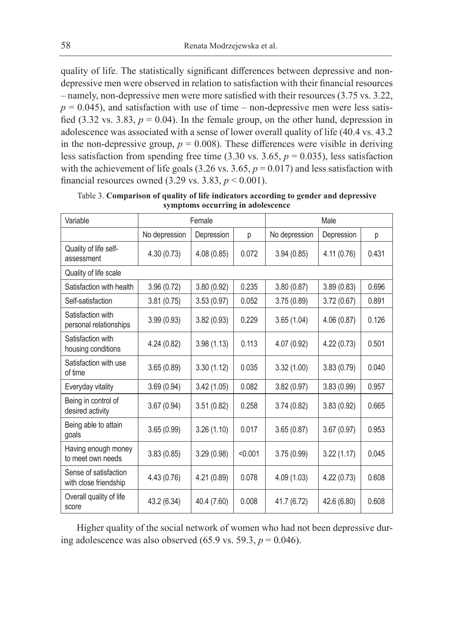quality of life. The statistically significant differences between depressive and nondepressive men were observed in relation to satisfaction with their financial resources – namely, non-depressive men were more satisfied with their resources (3.75 vs. 3.22,  $p = 0.045$ ), and satisfaction with use of time – non-depressive men were less satisfied (3.32 vs. 3.83,  $p = 0.04$ ). In the female group, on the other hand, depression in adolescence was associated with a sense of lower overall quality of life (40.4 vs. 43.2 in the non-depressive group,  $p = 0.008$ ). These differences were visible in deriving less satisfaction from spending free time  $(3.30 \text{ vs. } 3.65, p = 0.035)$ , less satisfaction with the achievement of life goals  $(3.26 \text{ vs. } 3.65, p = 0.017)$  and less satisfaction with financial resources owned  $(3.29 \text{ vs. } 3.83, p < 0.001)$ .

| Variable                                       | Female        |             |         | Male          |             |       |
|------------------------------------------------|---------------|-------------|---------|---------------|-------------|-------|
|                                                | No depression | Depression  | p       | No depression | Depression  | р     |
| Quality of life self-<br>assessment            | 4.30 (0.73)   | 4.08 (0.85) | 0.072   | 3.94(0.85)    | 4.11(0.76)  | 0.431 |
| Quality of life scale                          |               |             |         |               |             |       |
| Satisfaction with health                       | 3.96(0.72)    | 3.80 (0.92) | 0.235   | 3.80(0.87)    | 3.89(0.83)  | 0.696 |
| Self-satisfaction                              | 3.81(0.75)    | 3.53(0.97)  | 0.052   | 3.75(0.89)    | 3.72(0.67)  | 0.891 |
| Satisfaction with<br>personal relationships    | 3.99(0.93)    | 3.82(0.93)  | 0.229   | 3.65(1.04)    | 4.06(0.87)  | 0.126 |
| Satisfaction with<br>housing conditions        | 4.24 (0.82)   | 3.98(1.13)  | 0.113   | 4.07 (0.92)   | 4.22(0.73)  | 0.501 |
| Satisfaction with use<br>of time               | 3.65(0.89)    | 3.30(1.12)  | 0.035   | 3.32(1.00)    | 3.83(0.79)  | 0.040 |
| Everyday vitality                              | 3.69(0.94)    | 3.42(1.05)  | 0.082   | 3.82(0.97)    | 3.83(0.99)  | 0.957 |
| Being in control of<br>desired activity        | 3.67(0.94)    | 3.51(0.82)  | 0.258   | 3.74(0.82)    | 3.83(0.92)  | 0.665 |
| Being able to attain<br>goals                  | 3.65(0.99)    | 3.26(1.10)  | 0.017   | 3.65(0.87)    | 3.67(0.97)  | 0.953 |
| Having enough money<br>to meet own needs       | 3.83(0.85)    | 3.29(0.98)  | < 0.001 | 3.75(0.99)    | 3.22(1.17)  | 0.045 |
| Sense of satisfaction<br>with close friendship | 4.43 (0.76)   | 4.21 (0.89) | 0.078   | 4.09 (1.03)   | 4.22(0.73)  | 0.608 |
| Overall quality of life<br>score               | 43.2 (6.34)   | 40.4 (7.60) | 0.008   | 41.7 (6.72)   | 42.6 (6.80) | 0.608 |

Table 3. **Comparison of quality of life indicators according to gender and depressive symptoms occurring in adolescence**

Higher quality of the social network of women who had not been depressive during adolescence was also observed (65.9 vs. 59.3,  $p = 0.046$ ).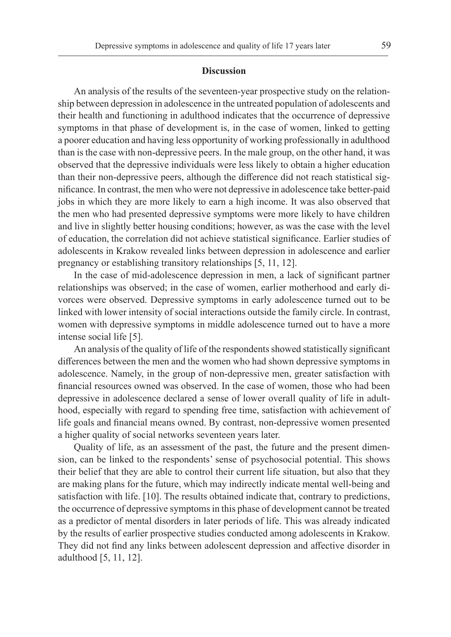#### **Discussion**

An analysis of the results of the seventeen-year prospective study on the relationship between depression in adolescence in the untreated population of adolescents and their health and functioning in adulthood indicates that the occurrence of depressive symptoms in that phase of development is, in the case of women, linked to getting a poorer education and having less opportunity of working professionally in adulthood than is the case with non-depressive peers. In the male group, on the other hand, it was observed that the depressive individuals were less likely to obtain a higher education than their non-depressive peers, although the difference did not reach statistical significance. In contrast, the men who were not depressive in adolescence take better-paid jobs in which they are more likely to earn a high income. It was also observed that the men who had presented depressive symptoms were more likely to have children and live in slightly better housing conditions; however, as was the case with the level of education, the correlation did not achieve statistical significance. Earlier studies of adolescents in Krakow revealed links between depression in adolescence and earlier pregnancy or establishing transitory relationships [5, 11, 12].

In the case of mid-adolescence depression in men, a lack of significant partner relationships was observed; in the case of women, earlier motherhood and early divorces were observed. Depressive symptoms in early adolescence turned out to be linked with lower intensity of social interactions outside the family circle. In contrast, women with depressive symptoms in middle adolescence turned out to have a more intense social life [5].

An analysis of the quality of life of the respondents showed statistically significant differences between the men and the women who had shown depressive symptoms in adolescence. Namely, in the group of non-depressive men, greater satisfaction with financial resources owned was observed. In the case of women, those who had been depressive in adolescence declared a sense of lower overall quality of life in adulthood, especially with regard to spending free time, satisfaction with achievement of life goals and financial means owned. By contrast, non-depressive women presented a higher quality of social networks seventeen years later.

Quality of life, as an assessment of the past, the future and the present dimension, can be linked to the respondents' sense of psychosocial potential. This shows their belief that they are able to control their current life situation, but also that they are making plans for the future, which may indirectly indicate mental well-being and satisfaction with life. [10]. The results obtained indicate that, contrary to predictions, the occurrence of depressive symptoms in this phase of development cannot be treated as a predictor of mental disorders in later periods of life. This was already indicated by the results of earlier prospective studies conducted among adolescents in Krakow. They did not find any links between adolescent depression and affective disorder in adulthood [5, 11, 12].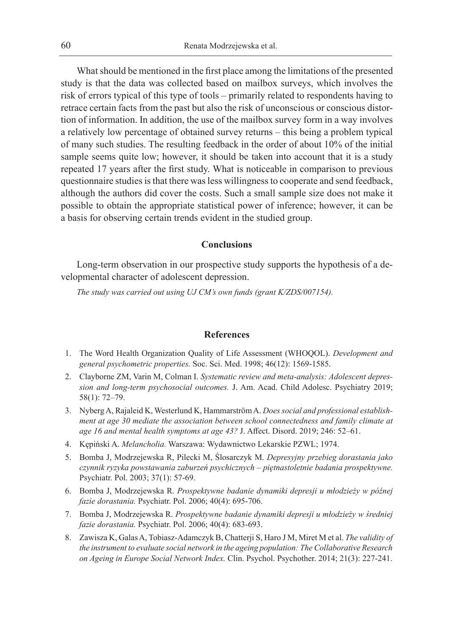What should be mentioned in the first place among the limitations of the presented study is that the data was collected based on mailbox surveys, which involves the risk of errors typical of this type of tools – primarily related to respondents having to retrace certain facts from the past but also the risk of unconscious or conscious distortion of information. In addition, the use of the mailbox survey form in a way involves a relatively low percentage of obtained survey returns – this being a problem typical of many such studies. The resulting feedback in the order of about 10% of the initial sample seems quite low; however, it should be taken into account that it is a study repeated 17 years after the first study. What is noticeable in comparison to previous questionnaire studies is that there was less willingness to cooperate and send feedback, although the authors did cover the costs. Such a small sample size does not make it possible to obtain the appropriate statistical power of inference; however, it can be a basis for observing certain trends evident in the studied group.

## **Conclusions**

Long-term observation in our prospective study supports the hypothesis of a developmental character of adolescent depression.

*The study was carried out using UJ CM's own funds (grant K/ZDS/007154).*

# **References**

- 1. The Word Health Organization Quality of Life Assessment (WHOQOL). *Development and general psychometric properties.* Soc. Sci. Med. 1998; 46(12): 1569-1585.
- 2. Clayborne ZM, Varin M, Colman I. *Systematic review and meta-analysis: Adolescent depression and long-term psychosocial outcomes.* J. Am. Acad. Child Adolesc. Psychiatry 2019; 58(1): 72–79.
- 3. Nyberg A, Rajaleid K, Westerlund K, Hammarström A. *Does social and professional establishment at age 30 mediate the association between school connectedness and family climate at age 16 and mental health symptoms at age 43?* J. Affect. Disord. 2019; 246: 52–61.
- 4. Kępiński A. *Melancholia.* Warszawa: Wydawnictwo Lekarskie PZWL; 1974.
- 5. Bomba J, Modrzejewska R, Pilecki M, Ślosarczyk M. *Depresyjny przebieg dorastania jako czynnik ryzyka powstawania zaburzeń psychicznych – piętnastoletnie badania prospektywne.*  Psychiatr. Pol. 2003; 37(1): 57-69.
- 6. Bomba J, Modrzejewska R. *Prospektywne badanie dynamiki depresji u młodzieży w późnej fazie dorastania.* Psychiatr. Pol. 2006; 40(4): 695-706.
- 7. Bomba J, Modrzejewska R. *Prospektywne badanie dynamiki depresji u młodzieży w średniej fazie dorastania.* Psychiatr. Pol. 2006; 40(4): 683-693.
- 8. Zawisza K, Galas A, Tobiasz‐Adamczyk B, Chatterji S, Haro J M, Miret M et al. *The validity of the instrument to evaluate social network in the ageing population: The Collaborative Research on Ageing in Europe Social Network Index.* Clin. Psychol. Psychother. 2014; 21(3): 227-241.